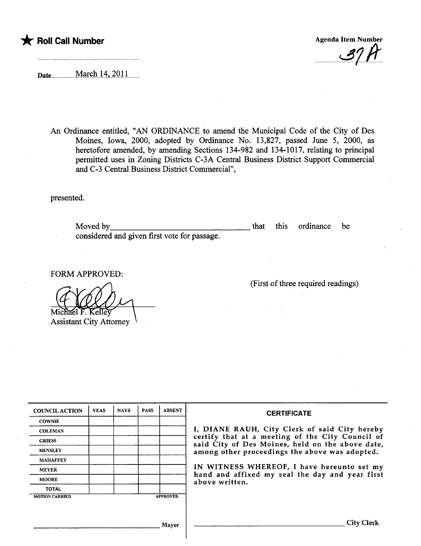## \* Roll Call Number Agenda Item Number Agenda Item Number

 $-37h$ 

Date.......................M.arçhJ.4...40.U.... .

An Ordinance entitled, "AN ORDINANCE to amend the Muncipal Code of the City of Des Moines, Iowa, 2000, adopted by Ordinance No. 13,827, passed June 5, 2000, as heretofore amended, by amending Sections 134-982 and 134-1017, relating to principal permitted uses in Zoning Districts C-3A Central Business District Support Commercial and C-3 Central Business District Commercial",

presented.

Moved by considered and given first vote for passage. that this ordinance be

FORM APPROVED: Assistant City Attorney

(First of thee required readings)

| <b>COUNCIL ACTION</b> | <b>YEAS</b>     | <b>NAYS</b> | <b>PASS</b> | <b>ABSENT</b> |
|-----------------------|-----------------|-------------|-------------|---------------|
| <b>COWNIE</b>         |                 |             |             |               |
| <b>COLEMAN</b>        |                 |             |             |               |
| <b>GRIESS</b>         |                 |             |             |               |
| <b>HENSLEY</b>        |                 |             |             |               |
| <b>MAHAFFEY</b>       |                 |             |             |               |
| <b>MEYER</b>          |                 |             |             |               |
| <b>MOORE</b>          |                 |             |             |               |
| <b>TOTAL</b>          |                 |             |             |               |
| <b>MOTION CARRIED</b> | <b>APPROVED</b> |             |             |               |

## **CERTIFICATE**

DIANE RAUH, City Clerk of said City hereby certify that at a meeting of the City Council of said City of Des Moines, held on the above date, nong other proceedings the above was adopted.

V WITNESS WHEREOF, I have hereunto set my and and affixed my seal the day and year first bove written.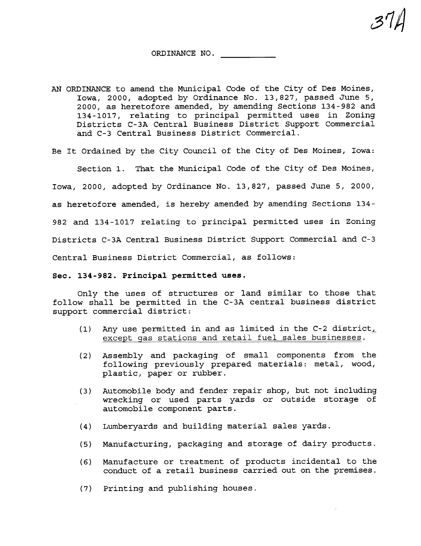a14

- AN ORDINANCE to amend the Municipal Code of the City of Des Moines, Iowa, 2000, adopted by Ordinance No. 13,827, passed June 5, 2000, as heretofore amended, by amending Sections 134-982 and 134-1017, relating to principal permitted uses in Zoning Districts C-3A Central Business District Support Commercial and C-3 Central Business District Commercial.
- Be It Ordained by the City Council of the City of Des Moines, Iowa:

Section 1. That the Municipal Code of the City of Des Moines,

Iowa, 2000, adopted by Ordinance No. 13,827, passed June 5, 2000,

as heretofore amended, is hereby amended by amending Sections 134-

982 and 134-1017 relating to principal permitted uses in Zoning

Districts C-3A Central Business District Support Commercial and C-3

Central Business District Commercial, as follows:

## Sec. 134 - 982. Principal permitted uses.

Only the uses of structures or land similar to those that follow shall be permitted in the C-3A central business district support commercial district:

- (1) Any use permitted in and as limited in the C-2 district, except gas stations and retail fuel sales businesses.
- (2) Assembly and packaging of small components from the following previously prepared materials: metal, wood, plastic, paper or rubber.
- (3) Automobile body and fender repair shop, but not including wrecking or used parts yards or outside storage of automobile component parts.
- (4) Lumberyards and building material sales yards.
- (5) Manufacturing, packaging and storage of dairy products.
- (6) Manufacture or treatment of products incidental to the conduct of a retail business carried out on the premises.
- (7) Printing and publishing houses.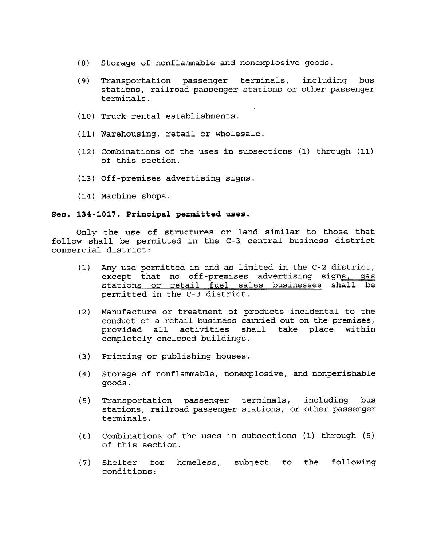- (8) Storage of nonflammable and nonexplosive goods.
- (9) Transportation passenger terminals, including bus stations, railroad passenger stations or other passenger terminals.
- (10) Truck rental establishments.
- (11) Warehousing, retail or wholesale.
- (12) Combinations of the uses in subsections (1) through (11) of this section.
- (13) Off-premises advertising signs.
- ( 14 ) Machine shops.

## Sec. 134-1017. Principal permitted uses.

Only the use of structures or land similar to those that follow shall be permitted in the C-3 central business district commercial district:

- (1) Any use permitted in and as limited in the C-2 district,<br>except that no off-premises advertising signs, gas stations or retail fuel sales businesses shall be permitted in the C-3 district.
- (2) Manufacture or treatment of products incidental to the conduct of a retail business carried out on the premises,<br>provided all activities shall take place within provided all activities completely enclosed buildings.
- (3) Printing or publishing houses.
- (4) Storage of nonflammable, nonexplosive, and nonperishable goods.
- (5) Transportation passenger terminals, including bus stations, railroad passenger stations, or other passenger terminals.
- (6) Combinations of the uses in subsections (1) through (5) of this section.
- (7) Shelter for homeless, subject to the following conditions: